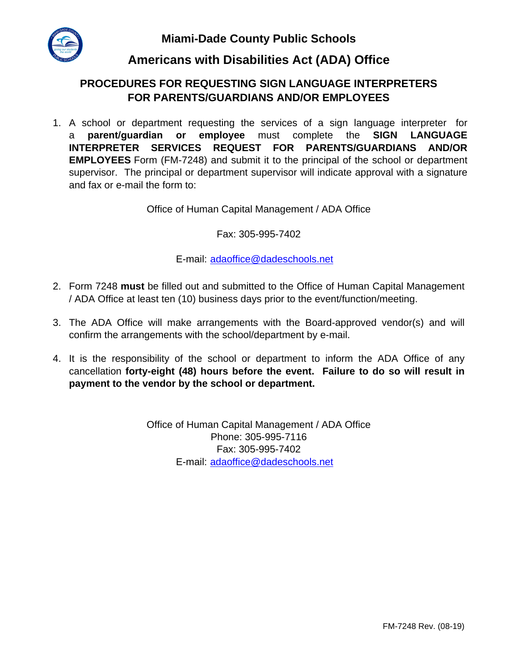**Miami-Dade County Public Schools**



## **Americans with Disabilities Act (ADA) Office**

## **PROCEDURES FOR REQUESTING SIGN LANGUAGE INTERPRETERS FOR PARENTS/GUARDIANS AND/OR EMPLOYEES**

1. A school or department requesting the services of a sign language interpreter for a **parent/guardian or employee** must complete the **SIGN LANGUAGE INTERPRETER SERVICES REQUEST FOR PARENTS/GUARDIANS AND/OR EMPLOYEES** Form (FM-7248) and submit it to the principal of the school or department supervisor. The principal or department supervisor will indicate approval with a signature and fax or e-mail the form to:

Office of Human Capital Management / ADA Office

Fax: 305-995-7402

E-mail: adaoffice@dadeschools.net

- 2. Form 7248 **must** be filled out and submitted to the Office of Human Capital Management / ADA Office at least ten (10) business days prior to the event/function/meeting.
- 3. The ADA Office will make arrangements with the Board-approved vendor(s) and will confirm the arrangements with the school/department by e-mail.
- 4. It is the responsibility of the school or department to inform the ADA Office of any cancellation **forty-eight (48) hours before the event. Failure to do so will result in payment to the vendor by the school or department.**

Office of Human Capital Management / ADA Office Phone: 305-995-7116 Fax: 305-995-7402 E-mail: adaoffice@dadeschools.net